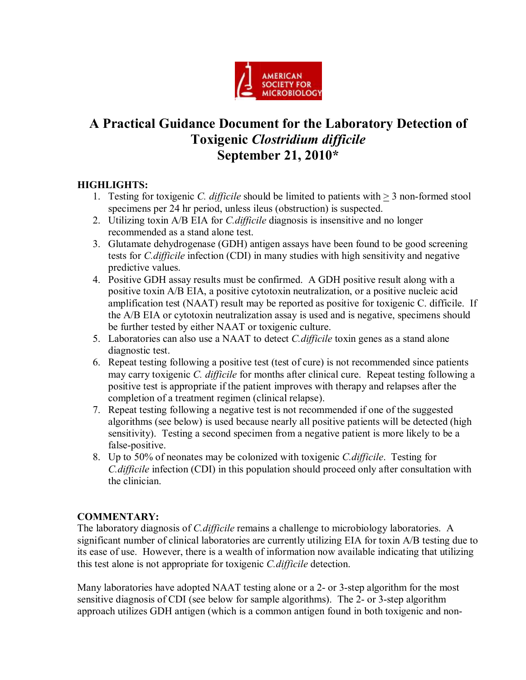

# **A Practical Guidance Document for the Laboratory Detection of Toxigenic** *Clostridium dificile* **September 21, 2010\***

## **HIGHLIGHTS:**

- 1. Testing for toxigenic *C. difficile* should be limited to patients with > 3 nonformed stool specimens per 24 hr period, unless ileus (obstruction) is suspected.
- 2. Utilizing toxin A/B EIA for *C.difficile* diagnosis is insensitive and no longer recommended as a stand alone test.
- 3. Glutamate dehydrogenase (GDH) antigen assays have been found to be good screening tests for *C.difficile* infection (CDI) in many studies with high sensitivity and negative predictive values.
- 4. Positive GDH assay results must be confirmed. A GDH positive result along with a positive toxin A/B EIA, a positive cytotoxin neutralization, or a positive nucleic acid amplification test (NAAT) result may be reported as positive for toxigenic C. difficile. If the A/B EIA or cytotoxin neutralization assay is used and is negative, specimens should be further tested by either NAAT or toxigenic culture.
- 5. Laboratories can also use a NAAT to detect *C.difficile* toxin genes as a stand alone diagnostic test.
- 6. Repeat testing following a positive test (test of cure) is not recommended since patients may carry toxigenic *C. difficile* for months after clinical cure. Repeat testing following a positive test is appropriate if the patient improves with therapy and relapses after the completion of a treatment regimen (clinical relapse).
- 7. Repeat testing following a negative test is not recommended if one of the suggested algorithms (see below) is used because nearly all positive patients will be detected (high sensitivity). Testing a second specimen from a negative patient is more likely to be a false-positive.
- 8. Up to 50% of neonates may be colonized with toxigenic *C.difficile*. Testing for *C.difficile* infection (CDI) in this population should proceed only after consultation with the clinician.

### **COMMENTARY:**

The laboratory diagnosis of *C.difficile* remains a challenge to microbiology laboratories. A significant number of clinical laboratories are currently utilizing EIA for toxin A/B testing due to its ease of use. However, there is a wealth of information now available indicating that utilizing this test alone is not appropriate for toxigenic *C.difficile* detection.

Many laboratories have adopted NAAT testing alone or a 2- or 3-step algorithm for the most sensitive diagnosis of CDI (see below for sample algorithms). The 2- or 3-step algorithm approach utilizes GDH antigen (which is a common antigen found in both toxigenic and non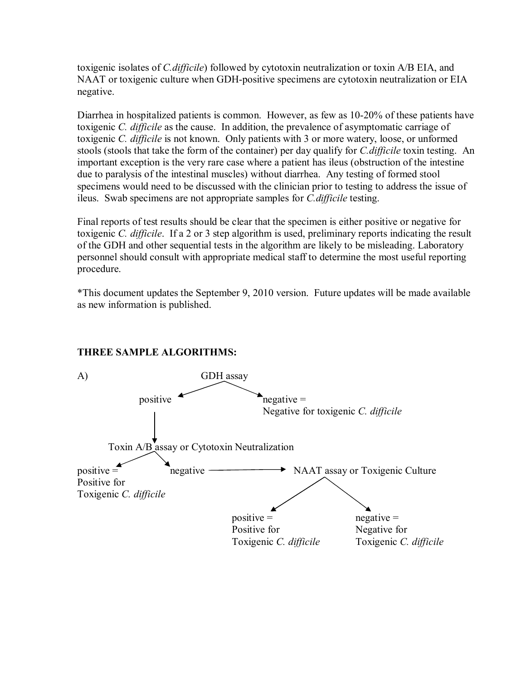toxigenic isolates of *C.difficile*) followed by cytotoxin neutralization or toxin A/B EIA, and NAAT or toxigenic culture when GDH-positive specimens are cytotoxin neutralization or EIA negative.

Diarrhea in hospitalized patients is common. However, as few as 10-20% of these patients have toxigenic *C. difficile* as the cause. In addition, the prevalence of asymptomatic carriage of toxigenic *C. difficile* is not known. Only patients with 3 or more watery, loose, or unformed stools (stools that take the form of the container) per day qualify for *C.difficile* toxin testing. An important exception is the very rare case where a patient has ileus (obstruction of the intestine due to paralysis of the intestinal muscles) without diarrhea. Any testing of formed stool specimens would need to be discussed with the clinician prior to testing to address the issue of ileus. Swab specimens are not appropriate samples for *C.difficile* testing.

Final reports of test results should be clear that the specimen is either positive or negative for toxigenic *C. difficile*. If a 2 or 3 step algorithm is used, preliminary reports indicating the result of the GDH and other sequential tests in the algorithm are likely to be misleading. Laboratory personnel should consult with appropriate medical staff to determine the most useful reporting procedure.

\*This document updates the September 9, 2010 version. Future updates will be made available as new information is published.



### **THREE SAMPLE ALGORITHMS:**